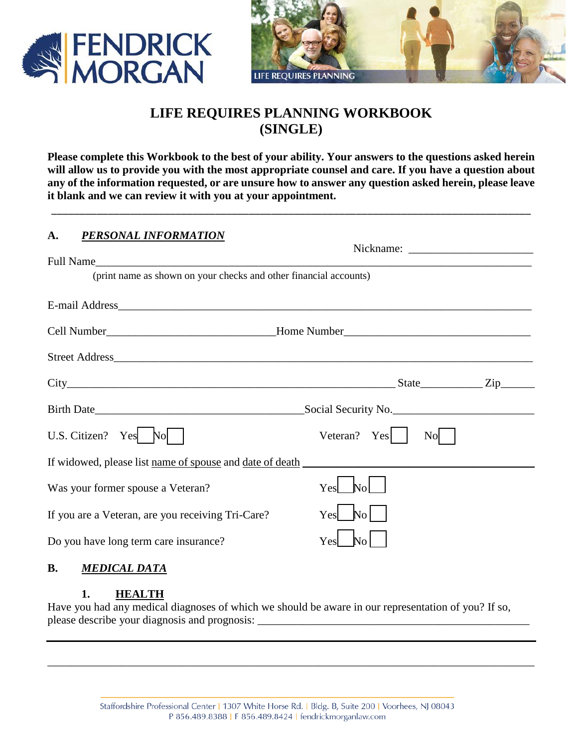



# **LIFE REQUIRES PLANNING WORKBOOK (SINGLE)**

**Please complete this Workbook to the best of your ability. Your answers to the questions asked herein will allow us to provide you with the most appropriate counsel and care. If you have a question about any of the information requested, or are unsure how to answer any question asked herein, please leave it blank and we can review it with you at your appointment.** 

\_\_\_\_\_\_\_\_\_\_\_\_\_\_\_\_\_\_\_\_\_\_\_\_\_\_\_\_\_\_\_\_\_\_\_\_\_\_\_\_\_\_\_\_\_\_\_\_\_\_\_\_\_\_\_\_\_\_\_\_\_\_\_\_\_\_\_\_\_\_\_\_\_\_\_\_\_\_\_\_\_\_\_\_\_

### **A.** *PERSONAL INFORMATION*

| (print name as shown on your checks and other financial accounts) |                                  |  |
|-------------------------------------------------------------------|----------------------------------|--|
|                                                                   |                                  |  |
|                                                                   |                                  |  |
|                                                                   |                                  |  |
|                                                                   |                                  |  |
| $City$ State $Zip$                                                |                                  |  |
|                                                                   |                                  |  |
| U.S. Citizen? Yes No                                              | Veteran? $Yes$<br>N <sub>o</sub> |  |
|                                                                   |                                  |  |
| Was your former spouse a Veteran?                                 | N <sub>0</sub><br>Yes            |  |
| If you are a Veteran, are you receiving Tri-Care?                 | $\mathbb{N}_0$<br>Yes            |  |
| Do you have long term care insurance?                             | Yes<br>N <sub>O</sub>            |  |

## **B.** *MEDICAL DATA*

#### **1. HEALTH**

Have you had any medical diagnoses of which we should be aware in our representation of you? If so, please describe your diagnosis and prognosis: \_\_\_\_\_\_\_\_\_\_\_\_\_\_\_\_\_\_\_\_\_\_\_\_\_\_\_\_\_\_\_\_\_\_\_\_\_\_\_\_\_\_\_\_\_\_\_\_

\_\_\_\_\_\_\_\_\_\_\_\_\_\_\_\_\_\_\_\_\_\_\_\_\_\_\_\_\_\_\_\_\_\_\_\_\_\_\_\_\_\_\_\_\_\_\_\_\_\_\_\_\_\_\_\_\_\_\_\_\_\_\_\_\_\_\_\_\_\_\_\_\_\_\_\_\_\_\_\_\_\_\_\_\_\_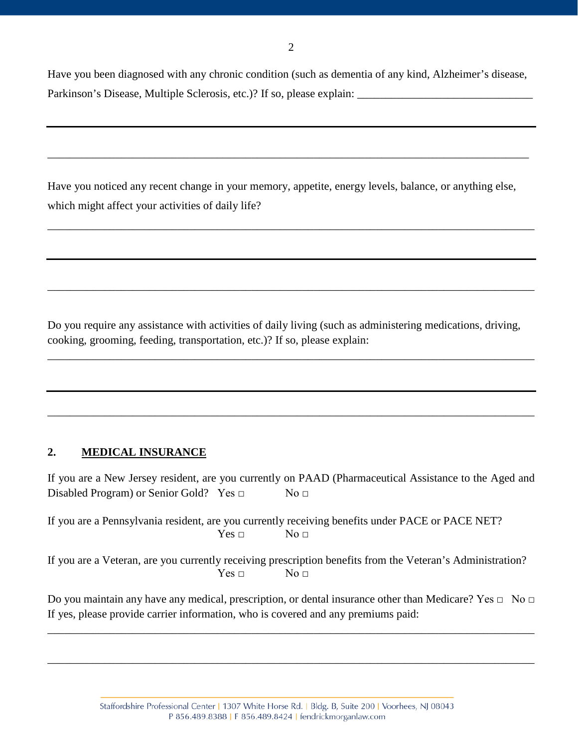Have you been diagnosed with any chronic condition (such as dementia of any kind, Alzheimer's disease, Parkinson's Disease, Multiple Sclerosis, etc.)? If so, please explain:

Have you noticed any recent change in your memory, appetite, energy levels, balance, or anything else, which might affect your activities of daily life?

\_\_\_\_\_\_\_\_\_\_\_\_\_\_\_\_\_\_\_\_\_\_\_\_\_\_\_\_\_\_\_\_\_\_\_\_\_\_\_\_\_\_\_\_\_\_\_\_\_\_\_\_\_\_\_\_\_\_\_\_\_\_\_\_\_\_\_\_\_\_\_\_\_\_\_\_\_\_\_\_\_\_\_\_\_\_

\_\_\_\_\_\_\_\_\_\_\_\_\_\_\_\_\_\_\_\_\_\_\_\_\_\_\_\_\_\_\_\_\_\_\_\_\_\_\_\_\_\_\_\_\_\_\_\_\_\_\_\_\_\_\_\_\_\_\_\_\_\_\_\_\_\_\_\_\_\_\_\_\_\_\_\_\_\_\_\_\_\_\_\_\_\_

\_\_\_\_\_\_\_\_\_\_\_\_\_\_\_\_\_\_\_\_\_\_\_\_\_\_\_\_\_\_\_\_\_\_\_\_\_\_\_\_\_\_\_\_\_\_\_\_\_\_\_\_\_\_\_\_\_\_\_\_\_\_\_\_\_\_\_\_\_\_\_\_\_\_\_\_\_\_\_\_\_\_\_\_\_

Do you require any assistance with activities of daily living (such as administering medications, driving, cooking, grooming, feeding, transportation, etc.)? If so, please explain:

\_\_\_\_\_\_\_\_\_\_\_\_\_\_\_\_\_\_\_\_\_\_\_\_\_\_\_\_\_\_\_\_\_\_\_\_\_\_\_\_\_\_\_\_\_\_\_\_\_\_\_\_\_\_\_\_\_\_\_\_\_\_\_\_\_\_\_\_\_\_\_\_\_\_\_\_\_\_\_\_\_\_\_\_\_\_

\_\_\_\_\_\_\_\_\_\_\_\_\_\_\_\_\_\_\_\_\_\_\_\_\_\_\_\_\_\_\_\_\_\_\_\_\_\_\_\_\_\_\_\_\_\_\_\_\_\_\_\_\_\_\_\_\_\_\_\_\_\_\_\_\_\_\_\_\_\_\_\_\_\_\_\_\_\_\_\_\_\_\_\_\_\_

## **2. MEDICAL INSURANCE**

If you are a New Jersey resident, are you currently on PAAD (Pharmaceutical Assistance to the Aged and Disabled Program) or Senior Gold? Yes □ No □

If you are a Pennsylvania resident, are you currently receiving benefits under PACE or PACE NET?  $Yes \Box$  No  $\Box$ 

If you are a Veteran, are you currently receiving prescription benefits from the Veteran's Administration?  $Yes \Box$   $No \Box$ 

Do you maintain any have any medical, prescription, or dental insurance other than Medicare? Yes □ No □ If yes, please provide carrier information, who is covered and any premiums paid:

\_\_\_\_\_\_\_\_\_\_\_\_\_\_\_\_\_\_\_\_\_\_\_\_\_\_\_\_\_\_\_\_\_\_\_\_\_\_\_\_\_\_\_\_\_\_\_\_\_\_\_\_\_\_\_\_\_\_\_\_\_\_\_\_\_\_\_\_\_\_\_\_\_\_\_\_\_\_\_\_\_\_\_\_\_\_

\_\_\_\_\_\_\_\_\_\_\_\_\_\_\_\_\_\_\_\_\_\_\_\_\_\_\_\_\_\_\_\_\_\_\_\_\_\_\_\_\_\_\_\_\_\_\_\_\_\_\_\_\_\_\_\_\_\_\_\_\_\_\_\_\_\_\_\_\_\_\_\_\_\_\_\_\_\_\_\_\_\_\_\_\_\_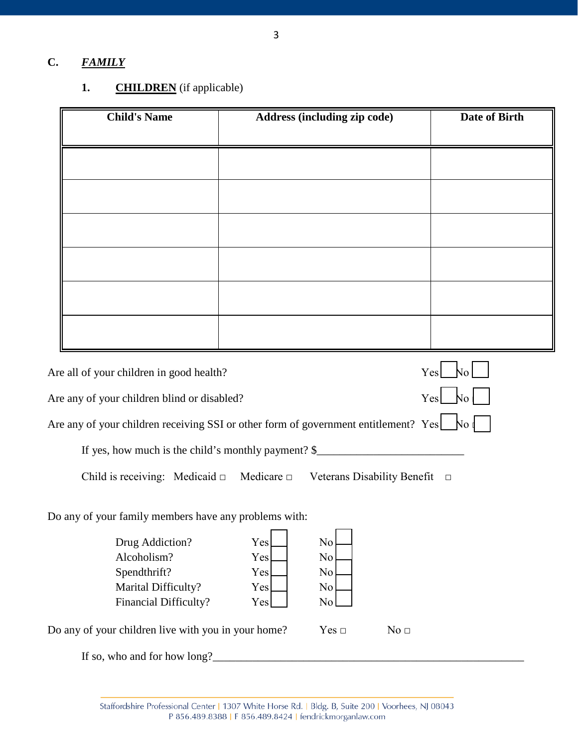## **C.** *FAMILY*

## **1. CHILDREN** (if applicable)

| <b>Child's Name</b>                                                                           |     | Address (including zip code) |                 | <b>Date of Birth</b>  |
|-----------------------------------------------------------------------------------------------|-----|------------------------------|-----------------|-----------------------|
|                                                                                               |     |                              |                 |                       |
|                                                                                               |     |                              |                 |                       |
|                                                                                               |     |                              |                 |                       |
|                                                                                               |     |                              |                 |                       |
|                                                                                               |     |                              |                 |                       |
|                                                                                               |     |                              |                 |                       |
|                                                                                               |     |                              |                 |                       |
|                                                                                               |     |                              |                 |                       |
| Are all of your children in good health?                                                      |     |                              |                 | N <sub>o</sub><br>Yes |
| Are any of your children blind or disabled?                                                   |     |                              |                 | $Yes$ No              |
| Are any of your children receiving SSI or other form of government entitlement? Yes $\Box$ No |     |                              |                 |                       |
| If yes, how much is the child's monthly payment? \$                                           |     |                              |                 |                       |
| Child is receiving: Medicaid $\Box$ Medicare $\Box$ Veterans Disability Benefit $\Box$        |     |                              |                 |                       |
| Do any of your family members have any problems with:                                         |     |                              |                 |                       |
| Drug Addiction?                                                                               | Yes | No                           |                 |                       |
| Alcoholism?                                                                                   | Yes | No                           |                 |                       |
| Spendthrift?                                                                                  | Yes | $\rm No$                     |                 |                       |
| Marital Difficulty?                                                                           | Yes | No                           |                 |                       |
| Financial Difficulty?                                                                         | Yes | No                           |                 |                       |
| Do any of your children live with you in your home?                                           |     | Yes $\Box$                   | No <sub>□</sub> |                       |

If so, who and for how long?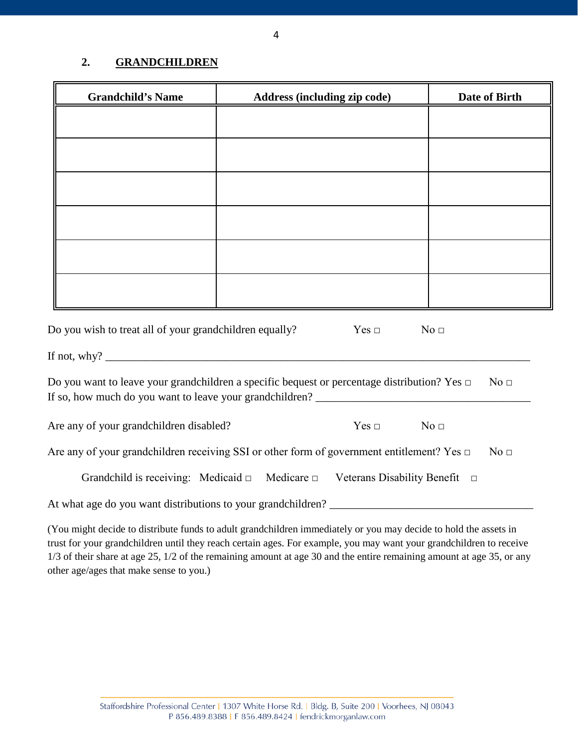#### **2. GRANDCHILDREN**

| <b>Grandchild's Name</b>                                                                                           | Address (including zip code)                                                                      | Date of Birth   |  |
|--------------------------------------------------------------------------------------------------------------------|---------------------------------------------------------------------------------------------------|-----------------|--|
|                                                                                                                    |                                                                                                   |                 |  |
|                                                                                                                    |                                                                                                   |                 |  |
|                                                                                                                    |                                                                                                   |                 |  |
|                                                                                                                    |                                                                                                   |                 |  |
|                                                                                                                    |                                                                                                   |                 |  |
|                                                                                                                    |                                                                                                   |                 |  |
|                                                                                                                    |                                                                                                   |                 |  |
| Do you wish to treat all of your grandchildren equally?                                                            | Yes $\Box$                                                                                        | No <sub>1</sub> |  |
|                                                                                                                    | Do you want to leave your grandchildren a specific bequest or percentage distribution? Yes $\Box$ | No <sub>□</sub> |  |
| Are any of your grandchildren disabled?                                                                            | $Yes \Box$                                                                                        | No <sub>1</sub> |  |
| Are any of your grandchildren receiving SSI or other form of government entitlement? Yes $\Box$<br>No <sub>□</sub> |                                                                                                   |                 |  |
|                                                                                                                    | Grandchild is receiving: Medicaid $\Box$ Medicare $\Box$ Veterans Disability Benefit $\Box$       |                 |  |
|                                                                                                                    |                                                                                                   |                 |  |

(You might decide to distribute funds to adult grandchildren immediately or you may decide to hold the assets in trust for your grandchildren until they reach certain ages. For example, you may want your grandchildren to receive 1/3 of their share at age 25, 1/2 of the remaining amount at age 30 and the entire remaining amount at age 35, or any other age/ages that make sense to you.)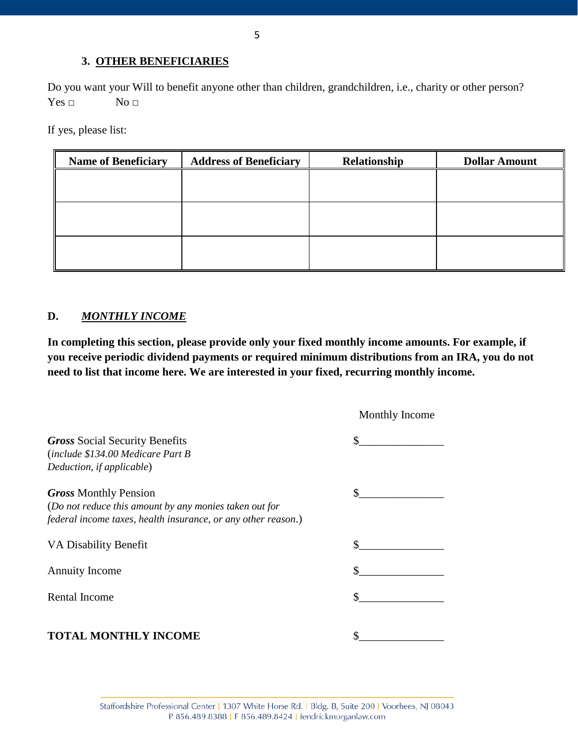#### **3. OTHER BENEFICIARIES**

Do you want your Will to benefit anyone other than children, grandchildren, i.e., charity or other person?  $Yes \Box$  No  $\Box$ 

If yes, please list:

| <b>Name of Beneficiary</b> | <b>Address of Beneficiary</b> | Relationship | <b>Dollar Amount</b> |
|----------------------------|-------------------------------|--------------|----------------------|
|                            |                               |              |                      |
|                            |                               |              |                      |
|                            |                               |              |                      |
|                            |                               |              |                      |
|                            |                               |              |                      |
|                            |                               |              |                      |

#### **D.** *MONTHLY INCOME*

**In completing this section, please provide only your fixed monthly income amounts. For example, if you receive periodic dividend payments or required minimum distributions from an IRA, you do not need to list that income here. We are interested in your fixed, recurring monthly income.**

|                                                               | Monthly Income |
|---------------------------------------------------------------|----------------|
| <b>Gross Social Security Benefits</b>                         |                |
| (include \$134.00 Medicare Part B                             |                |
| Deduction, if applicable)                                     |                |
| <b>Gross Monthly Pension</b>                                  |                |
| (Do not reduce this amount by any monies taken out for        |                |
| federal income taxes, health insurance, or any other reason.) |                |
| VA Disability Benefit                                         |                |
| <b>Annuity Income</b>                                         |                |
| Rental Income                                                 |                |
| <b>TOTAL MONTHLY INCOME</b>                                   |                |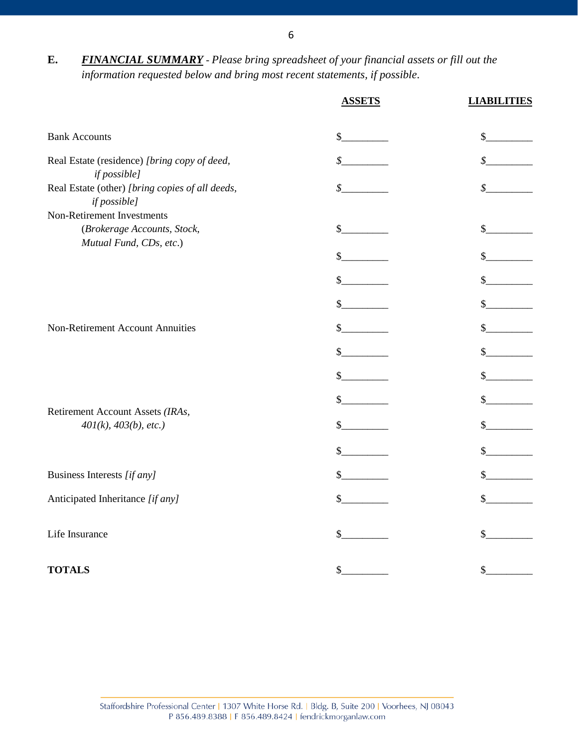| <b>FINANCIAL SUMMARY</b> - Please bring spreadsheet of your financial assets or fill out the |
|----------------------------------------------------------------------------------------------|
| information requested below and bring most recent statements, if possible.                   |

|                                                                                      | <b>ASSETS</b>              | <b>LIABILITIES</b> |
|--------------------------------------------------------------------------------------|----------------------------|--------------------|
| <b>Bank Accounts</b>                                                                 | \$                         | \$                 |
| Real Estate (residence) [bring copy of deed,<br>if possible]                         | \$                         | \$                 |
| Real Estate (other) [bring copies of all deeds,<br>if possible]                      | $\boldsymbol{\mathcal{S}}$ | \$                 |
| Non-Retirement Investments<br>(Brokerage Accounts, Stock,<br>Mutual Fund, CDs, etc.) | \$                         | \$                 |
|                                                                                      | $\mathcal{S}$              | \$                 |
|                                                                                      | $\mathbb{S}$               | \$                 |
|                                                                                      | \$                         | \$                 |
| Non-Retirement Account Annuities                                                     | \$                         | \$                 |
|                                                                                      | \$                         | \$                 |
|                                                                                      | $\mathbb{S}$               | \$                 |
|                                                                                      | $\mathbb{S}^-$             | \$                 |
| Retirement Account Assets (IRAs,<br>401(k), 403(b), etc.)                            | \$                         | \$                 |
|                                                                                      | \$                         | \$                 |
| Business Interests [if any]                                                          | $\mathbb{S}$               | $\mathbb{S}$       |
| Anticipated Inheritance [if any]                                                     | $\mathbb{S}$               | \$                 |
| Life Insurance                                                                       | \$                         | \$                 |
|                                                                                      |                            |                    |
| <b>TOTALS</b>                                                                        | $\mathcal{S}_{-}$          | $\frac{1}{2}$      |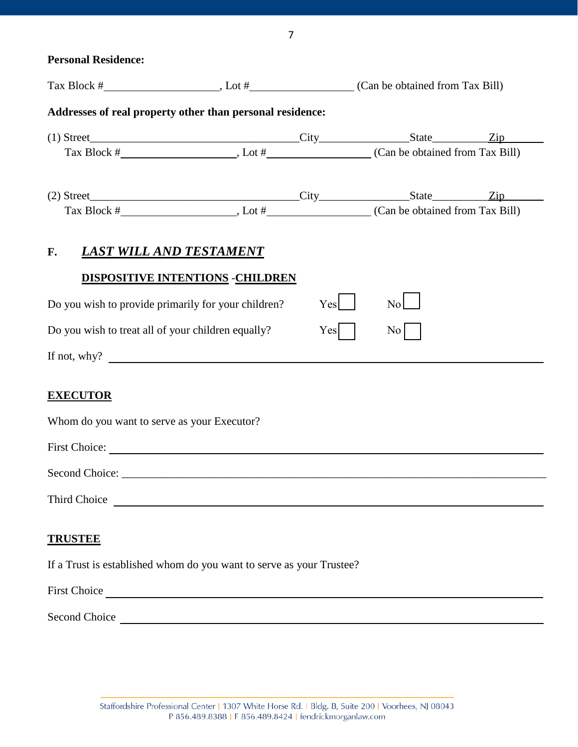**Personal Residence:**

| Addresses of real property other than personal residence:                       |                                  |     |                  |  |
|---------------------------------------------------------------------------------|----------------------------------|-----|------------------|--|
| (1) Street <u>Tip City</u> State Tip                                            |                                  |     |                  |  |
|                                                                                 |                                  |     |                  |  |
|                                                                                 |                                  |     |                  |  |
|                                                                                 |                                  |     |                  |  |
| <b>LAST WILL AND TESTAMENT</b><br>$\mathbf{F}$ .                                | DISPOSITIVE INTENTIONS -CHILDREN |     |                  |  |
| Do you wish to provide primarily for your children?                             |                                  | Yes | $\overline{N_0}$ |  |
| Do you wish to treat all of your children equally?                              |                                  | Yes | $\overline{N}$ o |  |
| If not, why?                                                                    |                                  |     |                  |  |
| <b>EXECUTOR</b><br>Whom do you want to serve as your Executor?<br>First Choice: |                                  |     |                  |  |
|                                                                                 |                                  |     |                  |  |
|                                                                                 |                                  |     |                  |  |
| <b>TRUSTEE</b>                                                                  |                                  |     |                  |  |
| If a Trust is established whom do you want to serve as your Trustee?            |                                  |     |                  |  |
|                                                                                 |                                  |     |                  |  |
|                                                                                 |                                  |     |                  |  |
|                                                                                 |                                  |     |                  |  |

7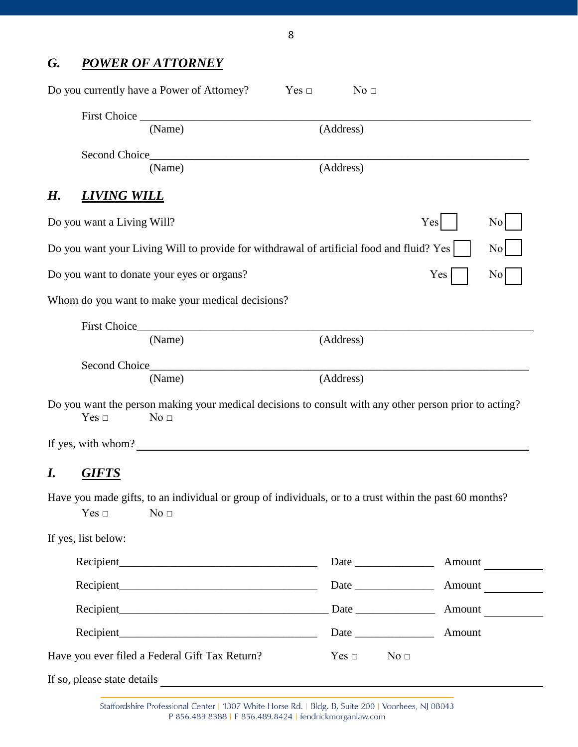# *G. POWER OF ATTORNEY*

|    |                             | Do you currently have a Power of Attorney?                                                                                 | Yes $\Box$ | No <sub>□</sub>               |        |                  |
|----|-----------------------------|----------------------------------------------------------------------------------------------------------------------------|------------|-------------------------------|--------|------------------|
|    |                             |                                                                                                                            |            |                               |        |                  |
|    |                             | (Name)                                                                                                                     | (Address)  |                               |        |                  |
|    | Second Choice <b>Second</b> | (Name)                                                                                                                     | (Address)  |                               |        |                  |
| Н. | <b>LIVING WILL</b>          |                                                                                                                            |            |                               |        |                  |
|    | Do you want a Living Will?  |                                                                                                                            |            |                               | Yes    | No               |
|    |                             | Do you want your Living Will to provide for withdrawal of artificial food and fluid? Yes                                   |            |                               |        | No               |
|    |                             | Do you want to donate your eyes or organs?                                                                                 |            |                               | Yes    | $\overline{N_0}$ |
|    |                             | Whom do you want to make your medical decisions?                                                                           |            |                               |        |                  |
|    |                             | (Name)                                                                                                                     | (Address)  |                               |        |                  |
|    |                             | (Name)                                                                                                                     | (Address)  |                               |        |                  |
|    | Yes $\Box$                  | Do you want the person making your medical decisions to consult with any other person prior to acting?<br>No <sub>□</sub>  |            |                               |        |                  |
|    |                             | If yes, with whom?                                                                                                         |            |                               |        |                  |
| I. | <b>GIFTS</b>                |                                                                                                                            |            |                               |        |                  |
|    | Yes $\Box$                  | Have you made gifts, to an individual or group of individuals, or to a trust within the past 60 months?<br>No <sub>□</sub> |            |                               |        |                  |
|    | If yes, list below:         |                                                                                                                            |            |                               |        |                  |
|    |                             |                                                                                                                            |            |                               | Amount |                  |
|    |                             |                                                                                                                            |            |                               | Amount |                  |
|    |                             |                                                                                                                            |            |                               | Amount |                  |
|    |                             |                                                                                                                            |            |                               | Amount |                  |
|    |                             | Have you ever filed a Federal Gift Tax Return?                                                                             |            | Yes $\Box$<br>No <sub>□</sub> |        |                  |

If so, please state details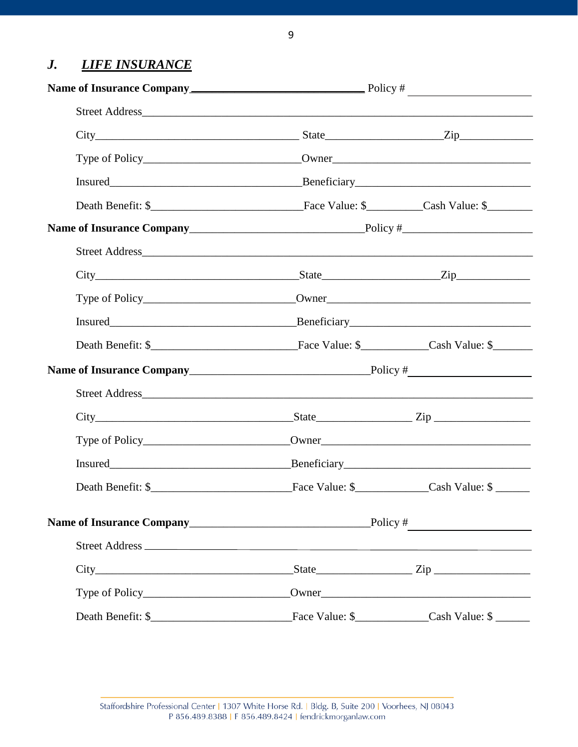#### **LIFE INSURANCE**  $\boldsymbol{J}$ .

| $City$ $City$ $Zip$ $Type$ $Zip$ |  |  |
|----------------------------------|--|--|
|                                  |  |  |
|                                  |  |  |
|                                  |  |  |
|                                  |  |  |
|                                  |  |  |
| $City$ $City$ $Zip$              |  |  |
|                                  |  |  |
|                                  |  |  |
|                                  |  |  |
|                                  |  |  |
|                                  |  |  |
| $City$ $City$ $Step$ $Line$      |  |  |
|                                  |  |  |
|                                  |  |  |